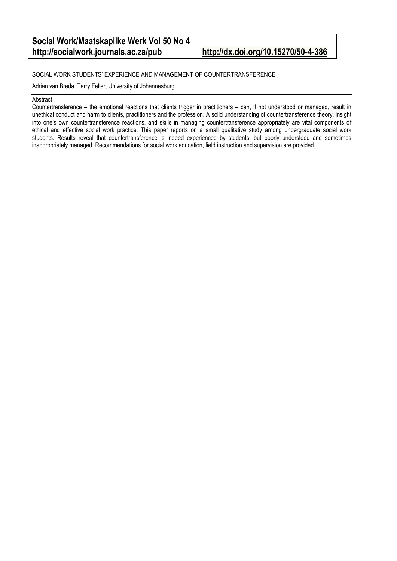#### **Social Work/Maatskaplike Werk Vol 50 No 4 http://socialwork.journals.ac.za/pub <http://dx.doi.org/10.15270/50-4-386>**

#### SOCIAL WORK STUDENTS' EXPERIENCE AND MANAGEMENT OF COUNTERTRANSFERENCE

Adrian van Breda, Terry Feller, University of Johannesburg

#### Abstract

Countertransference – the emotional reactions that clients trigger in practitioners – can, if not understood or managed, result in unethical conduct and harm to clients, practitioners and the profession. A solid understanding of countertransference theory, insight into one's own countertransference reactions, and skills in managing countertransference appropriately are vital components of ethical and effective social work practice. This paper reports on a small qualitative study among undergraduate social work students. Results reveal that countertransference is indeed experienced by students, but poorly understood and sometimes inappropriately managed. Recommendations for social work education, field instruction and supervision are provided.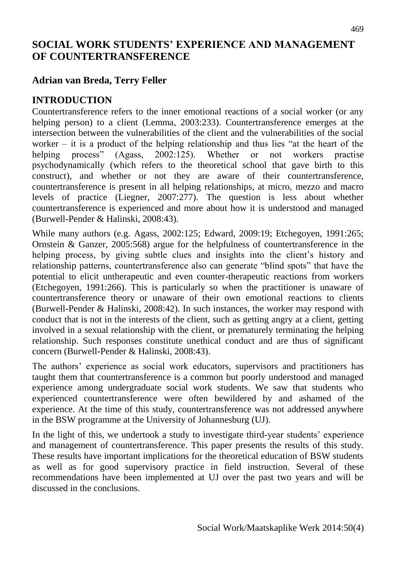# **SOCIAL WORK STUDENTS' EXPERIENCE AND MANAGEMENT OF COUNTERTRANSFERENCE**

# **Adrian van Breda, Terry Feller**

# **INTRODUCTION**

Countertransference refers to the inner emotional reactions of a social worker (or any helping person) to a client (Lemma, 2003:233). Countertransference emerges at the intersection between the vulnerabilities of the client and the vulnerabilities of the social worker – it is a product of the helping relationship and thus lies "at the heart of the helping process" (Agass, 2002:125). Whether or not workers practise psychodynamically (which refers to the theoretical school that gave birth to this construct), and whether or not they are aware of their countertransference, countertransference is present in all helping relationships, at micro, mezzo and macro levels of practice (Liegner, 2007:277). The question is less about whether countertransference is experienced and more about how it is understood and managed (Burwell-Pender & Halinski, 2008:43).

While many authors (e.g. Agass, 2002:125; Edward, 2009:19; Etchegoyen, 1991:265; Ornstein & Ganzer, 2005:568) argue for the helpfulness of countertransference in the helping process, by giving subtle clues and insights into the client's history and relationship patterns, countertransference also can generate "blind spots" that have the potential to elicit untherapeutic and even counter-therapeutic reactions from workers (Etchegoyen, 1991:266). This is particularly so when the practitioner is unaware of countertransference theory or unaware of their own emotional reactions to clients (Burwell-Pender & Halinski, 2008:42). In such instances, the worker may respond with conduct that is not in the interests of the client, such as getting angry at a client, getting involved in a sexual relationship with the client, or prematurely terminating the helping relationship. Such responses constitute unethical conduct and are thus of significant concern (Burwell-Pender & Halinski, 2008:43).

The authors' experience as social work educators, supervisors and practitioners has taught them that countertransference is a common but poorly understood and managed experience among undergraduate social work students. We saw that students who experienced countertransference were often bewildered by and ashamed of the experience. At the time of this study, countertransference was not addressed anywhere in the BSW programme at the University of Johannesburg (UJ).

In the light of this, we undertook a study to investigate third-year students' experience and management of countertransference. This paper presents the results of this study. These results have important implications for the theoretical education of BSW students as well as for good supervisory practice in field instruction. Several of these recommendations have been implemented at UJ over the past two years and will be discussed in the conclusions.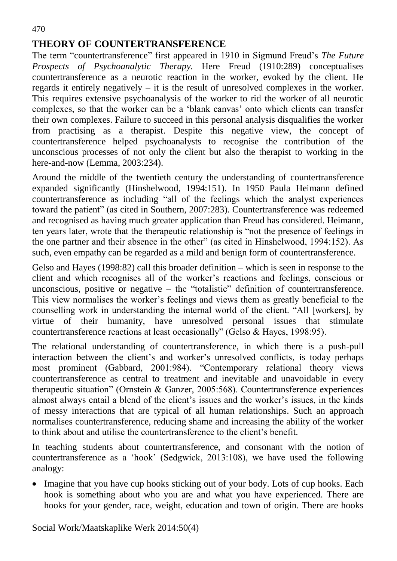# **THEORY OF COUNTERTRANSFERENCE**

The term "countertransference" first appeared in 1910 in Sigmund Freud's *The Future Prospects of Psychoanalytic Therapy.* Here Freud (1910:289) conceptualises countertransference as a neurotic reaction in the worker, evoked by the client. He regards it entirely negatively – it is the result of unresolved complexes in the worker. This requires extensive psychoanalysis of the worker to rid the worker of all neurotic complexes, so that the worker can be a 'blank canvas' onto which clients can transfer their own complexes. Failure to succeed in this personal analysis disqualifies the worker from practising as a therapist. Despite this negative view, the concept of countertransference helped psychoanalysts to recognise the contribution of the unconscious processes of not only the client but also the therapist to working in the here-and-now (Lemma, 2003:234).

Around the middle of the twentieth century the understanding of countertransference expanded significantly (Hinshelwood, 1994:151). In 1950 Paula Heimann defined countertransference as including "all of the feelings which the analyst experiences toward the patient" (as cited in Southern, 2007:283). Countertransference was redeemed and recognised as having much greater application than Freud has considered. Heimann, ten years later, wrote that the therapeutic relationship is "not the presence of feelings in the one partner and their absence in the other" (as cited in Hinshelwood, 1994:152). As such, even empathy can be regarded as a mild and benign form of countertransference.

Gelso and Hayes (1998:82) call this broader definition – which is seen in response to the client and which recognises all of the worker's reactions and feelings, conscious or unconscious, positive or negative – the "totalistic" definition of countertransference. This view normalises the worker's feelings and views them as greatly beneficial to the counselling work in understanding the internal world of the client. "All [workers], by virtue of their humanity, have unresolved personal issues that stimulate countertransference reactions at least occasionally" (Gelso & Hayes, 1998:95).

The relational understanding of countertransference, in which there is a push-pull interaction between the client's and worker's unresolved conflicts, is today perhaps most prominent (Gabbard, 2001:984). "Contemporary relational theory views countertransference as central to treatment and inevitable and unavoidable in every therapeutic situation" (Ornstein & Ganzer, 2005:568). Countertransference experiences almost always entail a blend of the client's issues and the worker's issues, in the kinds of messy interactions that are typical of all human relationships. Such an approach normalises countertransference, reducing shame and increasing the ability of the worker to think about and utilise the countertransference to the client's benefit.

In teaching students about countertransference, and consonant with the notion of countertransference as a 'hook' (Sedgwick, 2013:108), we have used the following analogy:

• Imagine that you have cup hooks sticking out of your body. Lots of cup hooks. Each hook is something about who you are and what you have experienced. There are hooks for your gender, race, weight, education and town of origin. There are hooks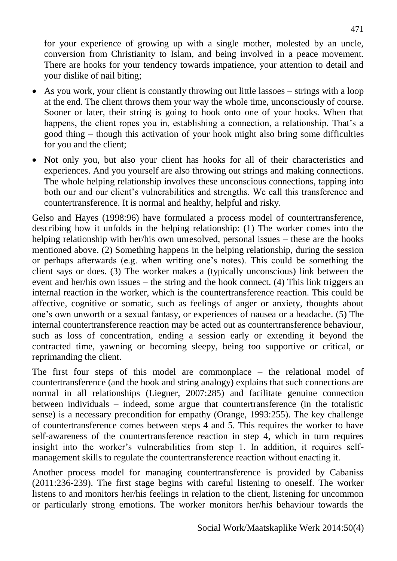for your experience of growing up with a single mother, molested by an uncle, conversion from Christianity to Islam, and being involved in a peace movement. There are hooks for your tendency towards impatience, your attention to detail and your dislike of nail biting;

- As you work, your client is constantly throwing out little lassoes strings with a loop at the end. The client throws them your way the whole time, unconsciously of course. Sooner or later, their string is going to hook onto one of your hooks. When that happens, the client ropes you in, establishing a connection, a relationship. That's a good thing – though this activation of your hook might also bring some difficulties for you and the client;
- Not only you, but also your client has hooks for all of their characteristics and experiences. And you yourself are also throwing out strings and making connections. The whole helping relationship involves these unconscious connections, tapping into both our and our client's vulnerabilities and strengths. We call this transference and countertransference. It is normal and healthy, helpful and risky.

Gelso and Hayes (1998:96) have formulated a process model of countertransference, describing how it unfolds in the helping relationship: (1) The worker comes into the helping relationship with her/his own unresolved, personal issues – these are the hooks mentioned above. (2) Something happens in the helping relationship, during the session or perhaps afterwards (e.g. when writing one's notes). This could be something the client says or does. (3) The worker makes a (typically unconscious) link between the event and her/his own issues – the string and the hook connect. (4) This link triggers an internal reaction in the worker, which is the countertransference reaction. This could be affective, cognitive or somatic, such as feelings of anger or anxiety, thoughts about one's own unworth or a sexual fantasy, or experiences of nausea or a headache. (5) The internal countertransference reaction may be acted out as countertransference behaviour, such as loss of concentration, ending a session early or extending it beyond the contracted time, yawning or becoming sleepy, being too supportive or critical, or reprimanding the client.

The first four steps of this model are commonplace – the relational model of countertransference (and the hook and string analogy) explains that such connections are normal in all relationships (Liegner, 2007:285) and facilitate genuine connection between individuals – indeed, some argue that countertransference (in the totalistic sense) is a necessary precondition for empathy (Orange, 1993:255). The key challenge of countertransference comes between steps 4 and 5. This requires the worker to have self-awareness of the countertransference reaction in step 4, which in turn requires insight into the worker's vulnerabilities from step 1. In addition, it requires selfmanagement skills to regulate the countertransference reaction without enacting it.

Another process model for managing countertransference is provided by Cabaniss (2011:236-239). The first stage begins with careful listening to oneself. The worker listens to and monitors her/his feelings in relation to the client, listening for uncommon or particularly strong emotions. The worker monitors her/his behaviour towards the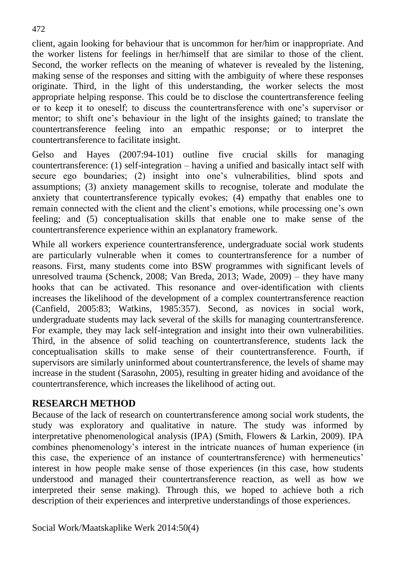client, again looking for behaviour that is uncommon for her/him or inappropriate. And the worker listens for feelings in her/himself that are similar to those of the client. Second, the worker reflects on the meaning of whatever is revealed by the listening, making sense of the responses and sitting with the ambiguity of where these responses originate. Third, in the light of this understanding, the worker selects the most appropriate helping response. This could be to disclose the countertransference feeling or to keep it to oneself; to discuss the countertransference with one's supervisor or mentor; to shift one's behaviour in the light of the insights gained; to translate the countertransference feeling into an empathic response; or to interpret the countertransference to facilitate insight.

Gelso and Hayes (2007:94-101) outline five crucial skills for managing countertransference: (1) self-integration – having a unified and basically intact self with secure ego boundaries; (2) insight into one's vulnerabilities, blind spots and assumptions; (3) anxiety management skills to recognise, tolerate and modulate the anxiety that countertransference typically evokes; (4) empathy that enables one to remain connected with the client and the client's emotions, while processing one's own feeling; and (5) conceptualisation skills that enable one to make sense of the countertransference experience within an explanatory framework.

While all workers experience countertransference, undergraduate social work students are particularly vulnerable when it comes to countertransference for a number of reasons. First, many students come into BSW programmes with significant levels of unresolved trauma (Schenck, 2008; Van Breda, 2013; Wade, 2009) – they have many hooks that can be activated. This resonance and over-identification with clients increases the likelihood of the development of a complex countertransference reaction (Canfield, 2005:83; Watkins, 1985:357). Second, as novices in social work, undergraduate students may lack several of the skills for managing countertransference. For example, they may lack self-integration and insight into their own vulnerabilities. Third, in the absence of solid teaching on countertransference, students lack the conceptualisation skills to make sense of their countertransference. Fourth, if supervisors are similarly uninformed about countertransference, the levels of shame may increase in the student (Sarasohn, 2005), resulting in greater hiding and avoidance of the countertransference, which increases the likelihood of acting out.

# **RESEARCH METHOD**

Because of the lack of research on countertransference among social work students, the study was exploratory and qualitative in nature. The study was informed by interpretative phenomenological analysis (IPA) (Smith, Flowers & Larkin, 2009). IPA combines phenomenology's interest in the intricate nuances of human experience (in this case, the experience of an instance of countertransference) with hermeneutics' interest in how people make sense of those experiences (in this case, how students understood and managed their countertransference reaction, as well as how we interpreted their sense making). Through this, we hoped to achieve both a rich description of their experiences and interpretive understandings of those experiences.

Social Work/Maatskaplike Werk 2014:50(4)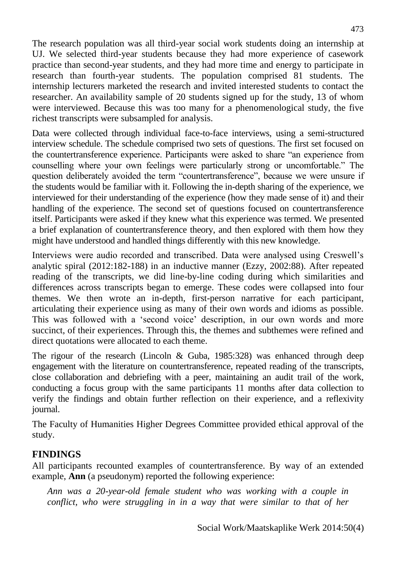The research population was all third-year social work students doing an internship at UJ. We selected third-year students because they had more experience of casework practice than second-year students, and they had more time and energy to participate in research than fourth-year students. The population comprised 81 students. The internship lecturers marketed the research and invited interested students to contact the researcher. An availability sample of 20 students signed up for the study, 13 of whom were interviewed. Because this was too many for a phenomenological study, the five richest transcripts were subsampled for analysis.

Data were collected through individual face-to-face interviews, using a semi-structured interview schedule. The schedule comprised two sets of questions. The first set focused on the countertransference experience. Participants were asked to share "an experience from counselling where your own feelings were particularly strong or uncomfortable." The question deliberately avoided the term "countertransference", because we were unsure if the students would be familiar with it. Following the in-depth sharing of the experience, we interviewed for their understanding of the experience (how they made sense of it) and their handling of the experience. The second set of questions focused on countertransference itself. Participants were asked if they knew what this experience was termed. We presented a brief explanation of countertransference theory, and then explored with them how they might have understood and handled things differently with this new knowledge.

Interviews were audio recorded and transcribed. Data were analysed using Creswell's analytic spiral (2012:182-188) in an inductive manner (Ezzy, 2002:88). After repeated reading of the transcripts, we did line-by-line coding during which similarities and differences across transcripts began to emerge. These codes were collapsed into four themes. We then wrote an in-depth, first-person narrative for each participant, articulating their experience using as many of their own words and idioms as possible. This was followed with a 'second voice' description, in our own words and more succinct, of their experiences. Through this, the themes and subthemes were refined and direct quotations were allocated to each theme.

The rigour of the research (Lincoln & Guba, 1985:328) was enhanced through deep engagement with the literature on countertransference, repeated reading of the transcripts, close collaboration and debriefing with a peer, maintaining an audit trail of the work, conducting a focus group with the same participants 11 months after data collection to verify the findings and obtain further reflection on their experience, and a reflexivity journal.

The Faculty of Humanities Higher Degrees Committee provided ethical approval of the study.

# **FINDINGS**

All participants recounted examples of countertransference. By way of an extended example, **Ann** (a pseudonym) reported the following experience:

*Ann was a 20-year-old female student who was working with a couple in conflict, who were struggling in in a way that were similar to that of her*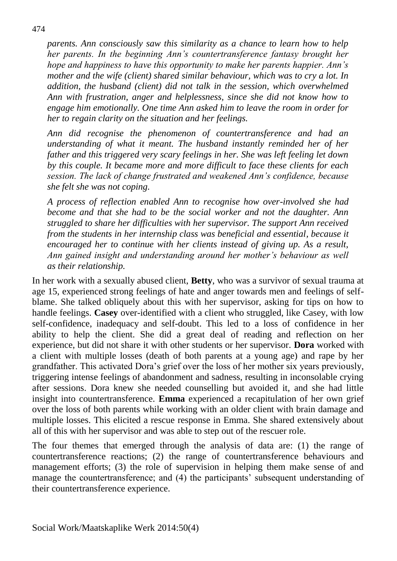*parents. Ann consciously saw this similarity as a chance to learn how to help her parents. In the beginning Ann's countertransference fantasy brought her hope and happiness to have this opportunity to make her parents happier. Ann's mother and the wife (client) shared similar behaviour, which was to cry a lot. In addition, the husband (client) did not talk in the session, which overwhelmed Ann with frustration, anger and helplessness, since she did not know how to engage him emotionally. One time Ann asked him to leave the room in order for her to regain clarity on the situation and her feelings.*

*Ann did recognise the phenomenon of countertransference and had an understanding of what it meant. The husband instantly reminded her of her father and this triggered very scary feelings in her. She was left feeling let down by this couple. It became more and more difficult to face these clients for each session. The lack of change frustrated and weakened Ann's confidence, because she felt she was not coping.* 

*A process of reflection enabled Ann to recognise how over-involved she had become and that she had to be the social worker and not the daughter. Ann struggled to share her difficulties with her supervisor. The support Ann received from the students in her internship class was beneficial and essential, because it encouraged her to continue with her clients instead of giving up. As a result, Ann gained insight and understanding around her mother's behaviour as well as their relationship.* 

In her work with a sexually abused client, **Betty**, who was a survivor of sexual trauma at age 15, experienced strong feelings of hate and anger towards men and feelings of selfblame. She talked obliquely about this with her supervisor, asking for tips on how to handle feelings. **Casey** over-identified with a client who struggled, like Casey, with low self-confidence, inadequacy and self-doubt. This led to a loss of confidence in her ability to help the client. She did a great deal of reading and reflection on her experience, but did not share it with other students or her supervisor. **Dora** worked with a client with multiple losses (death of both parents at a young age) and rape by her grandfather. This activated Dora's grief over the loss of her mother six years previously, triggering intense feelings of abandonment and sadness, resulting in inconsolable crying after sessions. Dora knew she needed counselling but avoided it, and she had little insight into countertransference. **Emma** experienced a recapitulation of her own grief over the loss of both parents while working with an older client with brain damage and multiple losses. This elicited a rescue response in Emma. She shared extensively about all of this with her supervisor and was able to step out of the rescuer role.

The four themes that emerged through the analysis of data are: (1) the range of countertransference reactions; (2) the range of countertransference behaviours and management efforts; (3) the role of supervision in helping them make sense of and manage the countertransference; and (4) the participants' subsequent understanding of their countertransference experience.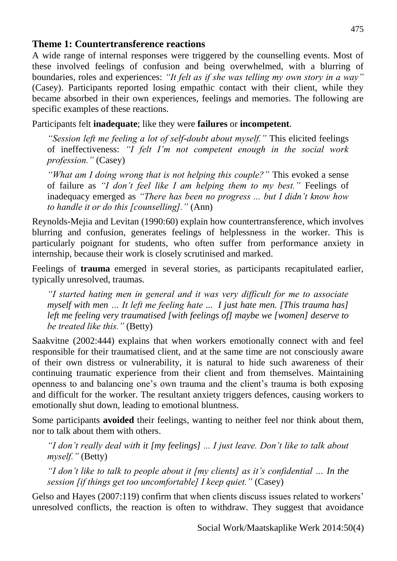## **Theme 1: Countertransference reactions**

A wide range of internal responses were triggered by the counselling events. Most of these involved feelings of confusion and being overwhelmed, with a blurring of boundaries, roles and experiences: *"It felt as if she was telling my own story in a way"* (Casey). Participants reported losing empathic contact with their client, while they became absorbed in their own experiences, feelings and memories. The following are specific examples of these reactions.

Participants felt **inadequate**; like they were **failures** or **incompetent**.

*"Session left me feeling a lot of self-doubt about myself."* This elicited feelings of ineffectiveness: *"I felt I'm not competent enough in the social work profession."* (Casey)

*"What am I doing wrong that is not helping this couple?"* This evoked a sense of failure as *"I don't feel like I am helping them to my best."* Feelings of inadequacy emerged as *"There has been no progress ... but I didn't know how to handle it or do this [counselling]."* (Ann)

Reynolds-Mejia and Levitan (1990:60) explain how countertransference, which involves blurring and confusion, generates feelings of helplessness in the worker. This is particularly poignant for students, who often suffer from performance anxiety in internship, because their work is closely scrutinised and marked.

Feelings of **trauma** emerged in several stories, as participants recapitulated earlier, typically unresolved, traumas.

*"I started hating men in general and it was very difficult for me to associate myself with men … It left me feeling hate ... I just hate men. [This trauma has] left me feeling very traumatised [with feelings of] maybe we [women] deserve to be treated like this."* (Betty)

Saakvitne (2002:444) explains that when workers emotionally connect with and feel responsible for their traumatised client, and at the same time are not consciously aware of their own distress or vulnerability, it is natural to hide such awareness of their continuing traumatic experience from their client and from themselves. Maintaining openness to and balancing one's own trauma and the client's trauma is both exposing and difficult for the worker. The resultant anxiety triggers defences, causing workers to emotionally shut down, leading to emotional bluntness.

Some participants **avoided** their feelings, wanting to neither feel nor think about them, nor to talk about them with others.

*"I don't really deal with it [my feelings] ... I just leave. Don't like to talk about myself."* (Betty)

*"I don't like to talk to people about it [my clients] as it's confidential … In the session [if things get too uncomfortable] I keep quiet."* (Casey)

Gelso and Hayes (2007:119) confirm that when clients discuss issues related to workers' unresolved conflicts, the reaction is often to withdraw. They suggest that avoidance

Social Work/Maatskaplike Werk 2014:50(4)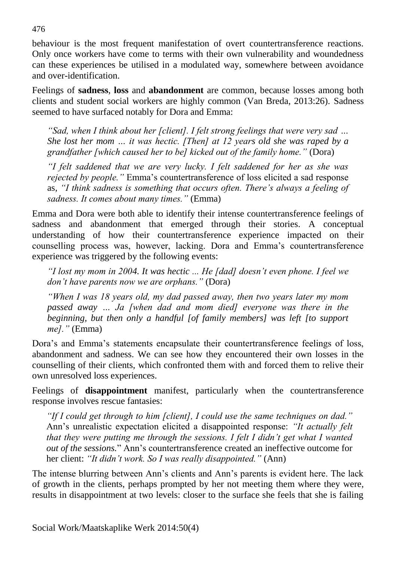behaviour is the most frequent manifestation of overt countertransference reactions. Only once workers have come to terms with their own vulnerability and woundedness can these experiences be utilised in a modulated way, somewhere between avoidance and over-identification.

Feelings of **sadness**, **loss** and **abandonment** are common, because losses among both clients and student social workers are highly common (Van Breda, 2013:26). Sadness seemed to have surfaced notably for Dora and Emma:

*"Sad, when I think about her [client]. I felt strong feelings that were very sad … She lost her mom … it was hectic. [Then] at 12 years old she was raped by a grandfather [which caused her to be] kicked out of the family home."* (Dora)

*"I felt saddened that we are very lucky. I felt saddened for her as she was rejected by people."* Emma's countertransference of loss elicited a sad response as, *"I think sadness is something that occurs often. There's always a feeling of sadness. It comes about many times."* (Emma)

Emma and Dora were both able to identify their intense countertransference feelings of sadness and abandonment that emerged through their stories. A conceptual understanding of how their countertransference experience impacted on their counselling process was, however, lacking. Dora and Emma's countertransference experience was triggered by the following events:

*"I lost my mom in 2004. It was hectic ... He [dad] doesn't even phone. I feel we don't have parents now we are orphans."* (Dora)

*"When I was 18 years old, my dad passed away, then two years later my mom passed away … Ja [when dad and mom died] everyone was there in the beginning, but then only a handful [of family members] was left [to support me]."* (Emma)

Dora's and Emma's statements encapsulate their countertransference feelings of loss, abandonment and sadness. We can see how they encountered their own losses in the counselling of their clients, which confronted them with and forced them to relive their own unresolved loss experiences.

Feelings of **disappointment** manifest, particularly when the countertransference response involves rescue fantasies:

*"If I could get through to him [client], I could use the same techniques on dad."* Ann's unrealistic expectation elicited a disappointed response: *"It actually felt that they were putting me through the sessions. I felt I didn't get what I wanted out of the sessions.*" Ann's countertransference created an ineffective outcome for her client: *"It didn't work. So I was really disappointed."* (Ann)

The intense blurring between Ann's clients and Ann's parents is evident here. The lack of growth in the clients, perhaps prompted by her not meeting them where they were, results in disappointment at two levels: closer to the surface she feels that she is failing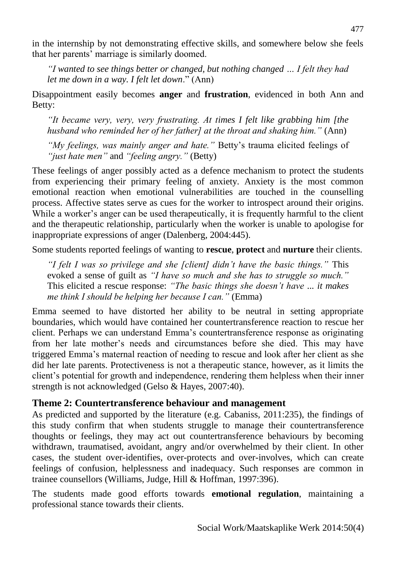in the internship by not demonstrating effective skills, and somewhere below she feels that her parents' marriage is similarly doomed.

*"I wanted to see things better or changed, but nothing changed … I felt they had let me down in a way. I felt let down*." (Ann)

Disappointment easily becomes **anger** and **frustration**, evidenced in both Ann and Betty:

*"It became very, very, very frustrating. At times I felt like grabbing him [the husband who reminded her of her father] at the throat and shaking him."* (Ann)

*"My feelings, was mainly anger and hate."* Betty's trauma elicited feelings of *"just hate men"* and *"feeling angry."* (Betty)

These feelings of anger possibly acted as a defence mechanism to protect the students from experiencing their primary feeling of anxiety. Anxiety is the most common emotional reaction when emotional vulnerabilities are touched in the counselling process. Affective states serve as cues for the worker to introspect around their origins. While a worker's anger can be used therapeutically, it is frequently harmful to the client and the therapeutic relationship, particularly when the worker is unable to apologise for inappropriate expressions of anger (Dalenberg, 2004:445).

Some students reported feelings of wanting to **rescue**, **protect** and **nurture** their clients.

*"I felt I was so privilege and she [client] didn't have the basic things."* This evoked a sense of guilt as *"I have so much and she has to struggle so much."*  This elicited a rescue response: *"The basic things she doesn't have ... it makes me think I should be helping her because I can."* (Emma)

Emma seemed to have distorted her ability to be neutral in setting appropriate boundaries, which would have contained her countertransference reaction to rescue her client. Perhaps we can understand Emma's countertransference response as originating from her late mother's needs and circumstances before she died. This may have triggered Emma's maternal reaction of needing to rescue and look after her client as she did her late parents. Protectiveness is not a therapeutic stance, however, as it limits the client's potential for growth and independence, rendering them helpless when their inner strength is not acknowledged (Gelso & Hayes, 2007:40).

# **Theme 2: Countertransference behaviour and management**

As predicted and supported by the literature (e.g. Cabaniss, 2011:235), the findings of this study confirm that when students struggle to manage their countertransference thoughts or feelings, they may act out countertransference behaviours by becoming withdrawn, traumatised, avoidant, angry and/or overwhelmed by their client. In other cases, the student over-identifies, over-protects and over-involves, which can create feelings of confusion, helplessness and inadequacy. Such responses are common in trainee counsellors (Williams, Judge, Hill & Hoffman, 1997:396).

The students made good efforts towards **emotional regulation**, maintaining a professional stance towards their clients.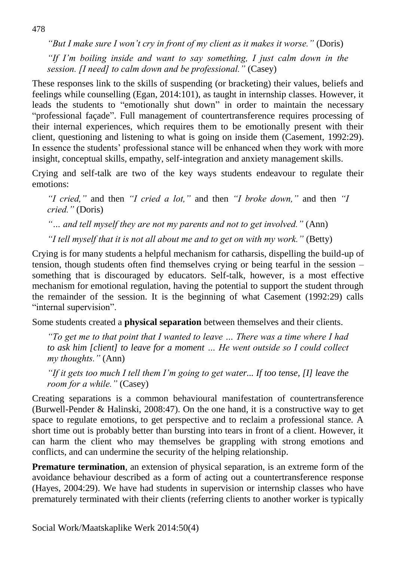*"But I make sure I won't cry in front of my client as it makes it worse."* (Doris) *"If I'm boiling inside and want to say something, I just calm down in the session. [I need] to calm down and be professional."* (Casey)

These responses link to the skills of suspending (or bracketing) their values, beliefs and feelings while counselling (Egan, 2014:101), as taught in internship classes. However, it leads the students to "emotionally shut down" in order to maintain the necessary "professional façade". Full management of countertransference requires processing of their internal experiences, which requires them to be emotionally present with their client, questioning and listening to what is going on inside them (Casement, 1992:29). In essence the students' professional stance will be enhanced when they work with more insight, conceptual skills, empathy, self-integration and anxiety management skills.

Crying and self-talk are two of the key ways students endeavour to regulate their emotions:

*"I cried,"* and then *"I cried a lot,"* and then *"I broke down,"* and then *"I cried."* (Doris)

*"… and tell myself they are not my parents and not to get involved."* (Ann)

*"I tell myself that it is not all about me and to get on with my work."* (Betty)

Crying is for many students a helpful mechanism for catharsis, dispelling the build-up of tension, though students often find themselves crying or being tearful in the session – something that is discouraged by educators. Self-talk, however, is a most effective mechanism for emotional regulation, having the potential to support the student through the remainder of the session. It is the beginning of what Casement (1992:29) calls "internal supervision".

Some students created a **physical separation** between themselves and their clients.

*"To get me to that point that I wanted to leave … There was a time where I had to ask him [client] to leave for a moment … He went outside so I could collect my thoughts."* (Ann)

*"If it gets too much I tell them I'm going to get water... If too tense, [I] leave the room for a while."* (Casey)

Creating separations is a common behavioural manifestation of countertransference (Burwell-Pender & Halinski, 2008:47). On the one hand, it is a constructive way to get space to regulate emotions, to get perspective and to reclaim a professional stance. A short time out is probably better than bursting into tears in front of a client. However, it can harm the client who may themselves be grappling with strong emotions and conflicts, and can undermine the security of the helping relationship.

**Premature termination**, an extension of physical separation, is an extreme form of the avoidance behaviour described as a form of acting out a countertransference response (Hayes, 2004:29). We have had students in supervision or internship classes who have prematurely terminated with their clients (referring clients to another worker is typically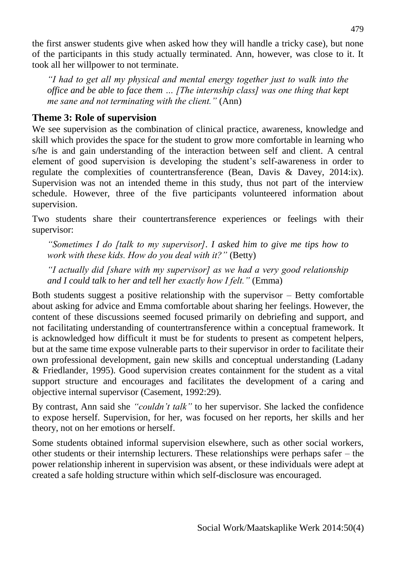the first answer students give when asked how they will handle a tricky case), but none of the participants in this study actually terminated. Ann, however, was close to it. It took all her willpower to not terminate.

*"I had to get all my physical and mental energy together just to walk into the office and be able to face them … [The internship class] was one thing that kept me sane and not terminating with the client."* (Ann)

# **Theme 3: Role of supervision**

We see supervision as the combination of clinical practice, awareness, knowledge and skill which provides the space for the student to grow more comfortable in learning who s/he is and gain understanding of the interaction between self and client. A central element of good supervision is developing the student's self-awareness in order to regulate the complexities of countertransference (Bean, Davis & Davey, 2014:ix). Supervision was not an intended theme in this study, thus not part of the interview schedule. However, three of the five participants volunteered information about supervision.

Two students share their countertransference experiences or feelings with their supervisor:

*"Sometimes I do [talk to my supervisor]. I asked him to give me tips how to work with these kids. How do you deal with it?"* (Betty)

*"I actually did [share with my supervisor] as we had a very good relationship and I could talk to her and tell her exactly how I felt."* (Emma)

Both students suggest a positive relationship with the supervisor – Betty comfortable about asking for advice and Emma comfortable about sharing her feelings. However, the content of these discussions seemed focused primarily on debriefing and support, and not facilitating understanding of countertransference within a conceptual framework. It is acknowledged how difficult it must be for students to present as competent helpers, but at the same time expose vulnerable parts to their supervisor in order to facilitate their own professional development, gain new skills and conceptual understanding (Ladany & Friedlander, 1995). Good supervision creates containment for the student as a vital support structure and encourages and facilitates the development of a caring and objective internal supervisor (Casement, 1992:29).

By contrast, Ann said she *"couldn't talk"* to her supervisor. She lacked the confidence to expose herself. Supervision, for her, was focused on her reports, her skills and her theory, not on her emotions or herself.

Some students obtained informal supervision elsewhere, such as other social workers, other students or their internship lecturers. These relationships were perhaps safer – the power relationship inherent in supervision was absent, or these individuals were adept at created a safe holding structure within which self-disclosure was encouraged.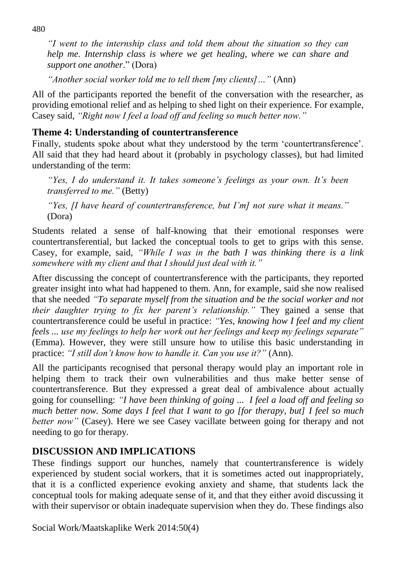*"I went to the internship class and told them about the situation so they can help me. Internship class is where we get healing, where we can share and support one another*." (Dora)

*"Another social worker told me to tell them [my clients]…"* (Ann)

All of the participants reported the benefit of the conversation with the researcher, as providing emotional relief and as helping to shed light on their experience. For example, Casey said, *"Right now I feel a load off and feeling so much better now."*

## **Theme 4: Understanding of countertransference**

Finally, students spoke about what they understood by the term 'countertransference'. All said that they had heard about it (probably in psychology classes), but had limited understanding of the term:

*"Yes, I do understand it. It takes someone's feelings as your own. It's been transferred to me."* (Betty)

*"Yes, [I have heard of countertransference, but I'm] not sure what it means."*  (Dora)

Students related a sense of half-knowing that their emotional responses were countertransferential, but lacked the conceptual tools to get to grips with this sense. Casey, for example, said, *"While I was in the bath I was thinking there is a link somewhere with my client and that I should just deal with it."*

After discussing the concept of countertransference with the participants, they reported greater insight into what had happened to them. Ann, for example, said she now realised that she needed *"To separate myself from the situation and be the social worker and not their daughter trying to fix her parent's relationship."* They gained a sense that countertransference could be useful in practice: *"Yes, knowing how I feel and my client feels ... use my feelings to help her work out her feelings and keep my feelings separate"*  (Emma). However, they were still unsure how to utilise this basic understanding in practice: *"I still don't know how to handle it. Can you use it?"* (Ann).

All the participants recognised that personal therapy would play an important role in helping them to track their own vulnerabilities and thus make better sense of countertransference. But they expressed a great deal of ambivalence about actually going for counselling: *"I have been thinking of going ... I feel a load off and feeling so much better now. Some days I feel that I want to go [for therapy, but] I feel so much better now*" (Casey). Here we see Casey vacillate between going for therapy and not needing to go for therapy.

# **DISCUSSION AND IMPLICATIONS**

These findings support our hunches, namely that countertransference is widely experienced by student social workers, that it is sometimes acted out inappropriately, that it is a conflicted experience evoking anxiety and shame, that students lack the conceptual tools for making adequate sense of it, and that they either avoid discussing it with their supervisor or obtain inadequate supervision when they do. These findings also

Social Work/Maatskaplike Werk 2014:50(4)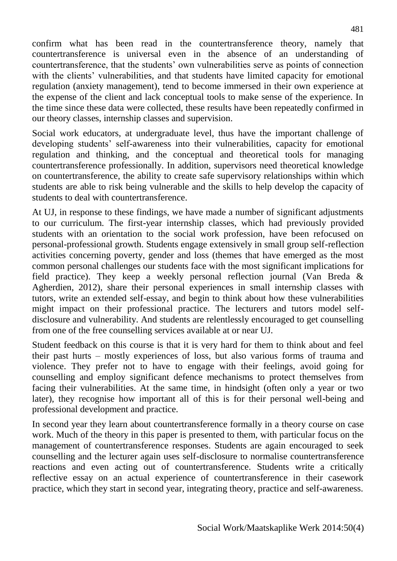confirm what has been read in the countertransference theory, namely that countertransference is universal even in the absence of an understanding of countertransference, that the students' own vulnerabilities serve as points of connection with the clients' vulnerabilities, and that students have limited capacity for emotional regulation (anxiety management), tend to become immersed in their own experience at the expense of the client and lack conceptual tools to make sense of the experience. In the time since these data were collected, these results have been repeatedly confirmed in our theory classes, internship classes and supervision.

Social work educators, at undergraduate level, thus have the important challenge of developing students' self-awareness into their vulnerabilities, capacity for emotional regulation and thinking, and the conceptual and theoretical tools for managing countertransference professionally. In addition, supervisors need theoretical knowledge on countertransference, the ability to create safe supervisory relationships within which students are able to risk being vulnerable and the skills to help develop the capacity of students to deal with countertransference.

At UJ, in response to these findings, we have made a number of significant adjustments to our curriculum. The first-year internship classes, which had previously provided students with an orientation to the social work profession, have been refocused on personal-professional growth. Students engage extensively in small group self-reflection activities concerning poverty, gender and loss (themes that have emerged as the most common personal challenges our students face with the most significant implications for field practice). They keep a weekly personal reflection journal (Van Breda & Agherdien, 2012), share their personal experiences in small internship classes with tutors, write an extended self-essay, and begin to think about how these vulnerabilities might impact on their professional practice. The lecturers and tutors model selfdisclosure and vulnerability. And students are relentlessly encouraged to get counselling from one of the free counselling services available at or near UJ.

Student feedback on this course is that it is very hard for them to think about and feel their past hurts – mostly experiences of loss, but also various forms of trauma and violence. They prefer not to have to engage with their feelings, avoid going for counselling and employ significant defence mechanisms to protect themselves from facing their vulnerabilities. At the same time, in hindsight (often only a year or two later), they recognise how important all of this is for their personal well-being and professional development and practice.

In second year they learn about countertransference formally in a theory course on case work. Much of the theory in this paper is presented to them, with particular focus on the management of countertransference responses. Students are again encouraged to seek counselling and the lecturer again uses self-disclosure to normalise countertransference reactions and even acting out of countertransference. Students write a critically reflective essay on an actual experience of countertransference in their casework practice, which they start in second year, integrating theory, practice and self-awareness.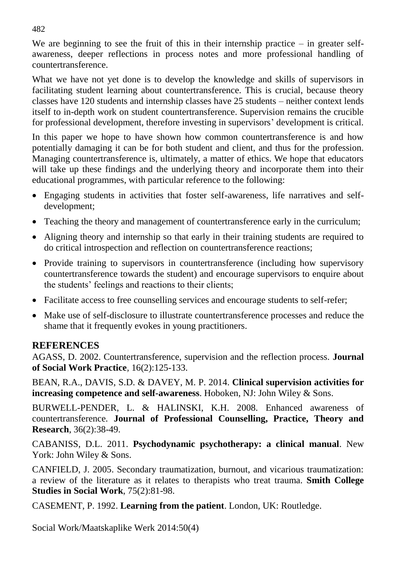We are beginning to see the fruit of this in their internship practice  $-$  in greater selfawareness, deeper reflections in process notes and more professional handling of countertransference.

What we have not yet done is to develop the knowledge and skills of supervisors in facilitating student learning about countertransference. This is crucial, because theory classes have 120 students and internship classes have 25 students – neither context lends itself to in-depth work on student countertransference. Supervision remains the crucible for professional development, therefore investing in supervisors' development is critical.

In this paper we hope to have shown how common countertransference is and how potentially damaging it can be for both student and client, and thus for the profession. Managing countertransference is, ultimately, a matter of ethics. We hope that educators will take up these findings and the underlying theory and incorporate them into their educational programmes, with particular reference to the following:

- Engaging students in activities that foster self-awareness, life narratives and selfdevelopment;
- Teaching the theory and management of countertransference early in the curriculum;
- Aligning theory and internship so that early in their training students are required to do critical introspection and reflection on countertransference reactions;
- Provide training to supervisors in countertransference (including how supervisory countertransference towards the student) and encourage supervisors to enquire about the students' feelings and reactions to their clients;
- Facilitate access to free counselling services and encourage students to self-refer;
- Make use of self-disclosure to illustrate countertransference processes and reduce the shame that it frequently evokes in young practitioners.

# **REFERENCES**

AGASS, D. 2002. Countertransference, supervision and the reflection process. **Journal of Social Work Practice***,* 16(2):125-133.

BEAN, R.A., DAVIS, S.D. & DAVEY, M. P. 2014. **Clinical supervision activities for increasing competence and self-awareness**. Hoboken, NJ: John Wiley & Sons.

BURWELL-PENDER, L. & HALINSKI, K.H. 2008. Enhanced awareness of countertransference*.* **Journal of Professional Counselling, Practice, Theory and Research**, 36(2):38-49.

CABANISS, D.L. 2011. **Psychodynamic psychotherapy: a clinical manual**. New York: John Wiley & Sons.

CANFIELD, J. 2005. Secondary traumatization, burnout, and vicarious traumatization: a review of the literature as it relates to therapists who treat trauma. **Smith College Studies in Social Work**, 75(2):81-98.

CASEMENT, P. 1992. **Learning from the patient**. London, UK: Routledge.

Social Work/Maatskaplike Werk 2014:50(4)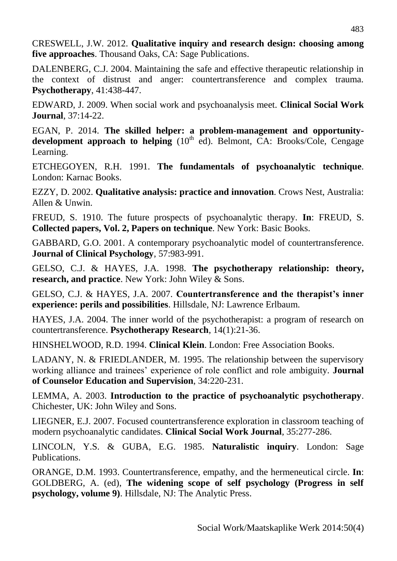CRESWELL, J.W. 2012. **Qualitative inquiry and research design: choosing among five approaches**. Thousand Oaks, CA: Sage Publications.

DALENBERG, C.J. 2004. Maintaining the safe and effective therapeutic relationship in the context of distrust and anger: countertransference and complex trauma. **Psychotherapy**, 41:438-447.

EDWARD, J. 2009. When social work and psychoanalysis meet. **Clinical Social Work Journal**, 37:14-22.

EGAN, P. 2014. **The skilled helper: a problem-management and opportunity**development approach to helping (10<sup>th</sup> ed). Belmont, CA: Brooks/Cole, Cengage Learning.

ETCHEGOYEN, R.H. 1991. **The fundamentals of psychoanalytic technique**. London: Karnac Books.

EZZY, D. 2002. **Qualitative analysis: practice and innovation**. Crows Nest, Australia: Allen & Unwin.

FREUD, S. 1910. The future prospects of psychoanalytic therapy. **In**: FREUD, S. **Collected papers, Vol. 2, Papers on technique**. New York: Basic Books.

GABBARD, G.O. 2001. A contemporary psychoanalytic model of countertransference. **Journal of Clinical Psychology**, 57:983-991.

GELSO, C.J. & HAYES, J.A. 1998. **The psychotherapy relationship: theory, research, and practice**. New York: John Wiley & Sons.

GELSO, C.J. & HAYES, J.A. 2007. **Countertransference and the therapist's inner experience: perils and possibilities**. Hillsdale, NJ: Lawrence Erlbaum.

HAYES, J.A. 2004. The inner world of the psychotherapist: a program of research on countertransference. **Psychotherapy Research**, 14(1):21-36.

HINSHELWOOD, R.D. 1994. **Clinical Klein**. London: Free Association Books.

LADANY, N. & FRIEDLANDER, M. 1995. The relationship between the supervisory working alliance and trainees' experience of role conflict and role ambiguity. **Journal of Counselor Education and Supervision**, 34:220-231.

LEMMA, A. 2003. **Introduction to the practice of psychoanalytic psychotherapy**. Chichester, UK: John Wiley and Sons.

LIEGNER, E.J. 2007. Focused countertransference exploration in classroom teaching of modern psychoanalytic candidates. **Clinical Social Work Journal**, 35:277-286.

LINCOLN, Y.S. & GUBA, E.G. 1985. **Naturalistic inquiry**. London: Sage Publications.

ORANGE, D.M. 1993. Countertransference, empathy, and the hermeneutical circle. **In**: GOLDBERG, A. (ed), **The widening scope of self psychology (Progress in self psychology, volume 9)**. Hillsdale, NJ: The Analytic Press.